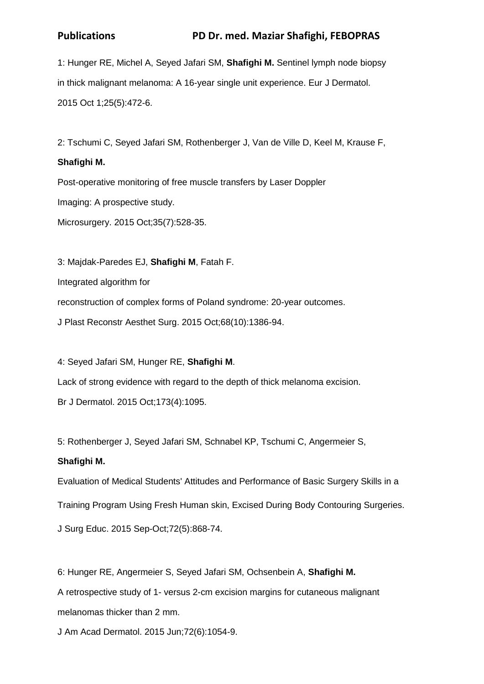1: Hunger RE, Michel A, Seyed Jafari SM, **Shafighi M.** Sentinel lymph node biopsy in thick malignant melanoma: A 16-year single unit experience. Eur J Dermatol. 2015 Oct 1;25(5):472-6.

2: Tschumi C, Seyed Jafari SM, Rothenberger J, Van de Ville D, Keel M, Krause F,

### **Shafighi M.**

Post-operative monitoring of free muscle transfers by Laser Doppler Imaging: A prospective study. Microsurgery. 2015 Oct;35(7):528-35.

3: Majdak-Paredes EJ, **Shafighi M**, Fatah F.

Integrated algorithm for

reconstruction of complex forms of Poland syndrome: 20-year outcomes.

J Plast Reconstr Aesthet Surg. 2015 Oct;68(10):1386-94.

4: Seyed Jafari SM, Hunger RE, **Shafighi M**. Lack of strong evidence with regard to the depth of thick melanoma excision. Br J Dermatol. 2015 Oct;173(4):1095.

5: Rothenberger J, Seyed Jafari SM, Schnabel KP, Tschumi C, Angermeier S,

## **Shafighi M.**

Evaluation of Medical Students' Attitudes and Performance of Basic Surgery Skills in a

Training Program Using Fresh Human skin, Excised During Body Contouring Surgeries.

J Surg Educ. 2015 Sep-Oct;72(5):868-74.

6: Hunger RE, Angermeier S, Seyed Jafari SM, Ochsenbein A, **Shafighi M.** A retrospective study of 1- versus 2-cm excision margins for cutaneous malignant melanomas thicker than 2 mm.

J Am Acad Dermatol. 2015 Jun;72(6):1054-9.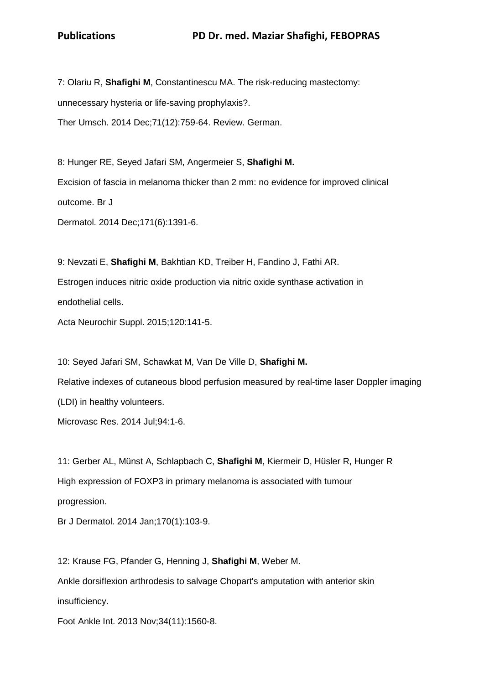7: Olariu R, **Shafighi M**, Constantinescu MA. The risk-reducing mastectomy: unnecessary hysteria or life-saving prophylaxis?. Ther Umsch. 2014 Dec;71(12):759-64. Review. German.

8: Hunger RE, Seyed Jafari SM, Angermeier S, **Shafighi M.** Excision of fascia in melanoma thicker than 2 mm: no evidence for improved clinical outcome. Br J Dermatol. 2014 Dec;171(6):1391-6.

9: Nevzati E, **Shafighi M**, Bakhtian KD, Treiber H, Fandino J, Fathi AR. Estrogen induces nitric oxide production via nitric oxide synthase activation in endothelial cells.

Acta Neurochir Suppl. 2015;120:141-5.

10: Seyed Jafari SM, Schawkat M, Van De Ville D, **Shafighi M.** Relative indexes of cutaneous blood perfusion measured by real-time laser Doppler imaging (LDI) in healthy volunteers. Microvasc Res. 2014 Jul;94:1-6.

11: Gerber AL, Münst A, Schlapbach C, **Shafighi M**, Kiermeir D, Hüsler R, Hunger R High expression of FOXP3 in primary melanoma is associated with tumour progression.

Br J Dermatol. 2014 Jan;170(1):103-9.

12: Krause FG, Pfander G, Henning J, **Shafighi M**, Weber M. Ankle dorsiflexion arthrodesis to salvage Chopart's amputation with anterior skin

insufficiency.

Foot Ankle Int. 2013 Nov;34(11):1560-8.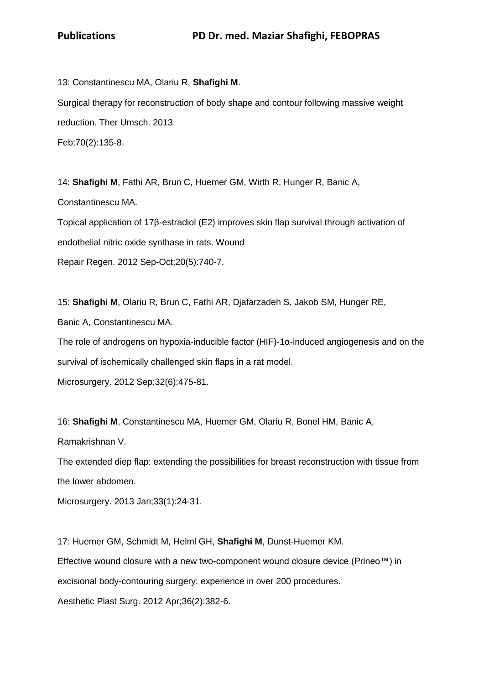13: Constantinescu MA, Olariu R, **Shafighi M**. Surgical therapy for reconstruction of body shape and contour following massive weight reduction. Ther Umsch. 2013 Feb;70(2):135-8.

14: **Shafighi M**, Fathi AR, Brun C, Huemer GM, Wirth R, Hunger R, Banic A, Constantinescu MA. Topical application of 17β-estradiol (E2) improves skin flap survival through activation of endothelial nitric oxide synthase in rats. Wound Repair Regen. 2012 Sep-Oct;20(5):740-7.

15: **Shafighi M**, Olariu R, Brun C, Fathi AR, Djafarzadeh S, Jakob SM, Hunger RE, Banic A, Constantinescu MA.

The role of androgens on hypoxia-inducible factor (HIF)-1α-induced angiogenesis and on the survival of ischemically challenged skin flaps in a rat model.

Microsurgery. 2012 Sep;32(6):475-81.

16: **Shafighi M**, Constantinescu MA, Huemer GM, Olariu R, Bonel HM, Banic A, Ramakrishnan V.

The extended diep flap: extending the possibilities for breast reconstruction with tissue from the lower abdomen.

Microsurgery. 2013 Jan;33(1):24-31.

17: Huemer GM, Schmidt M, Helml GH, **Shafighi M**, Dunst-Huemer KM. Effective wound closure with a new two-component wound closure device (Prineo™) in excisional body-contouring surgery: experience in over 200 procedures. Aesthetic Plast Surg. 2012 Apr;36(2):382-6.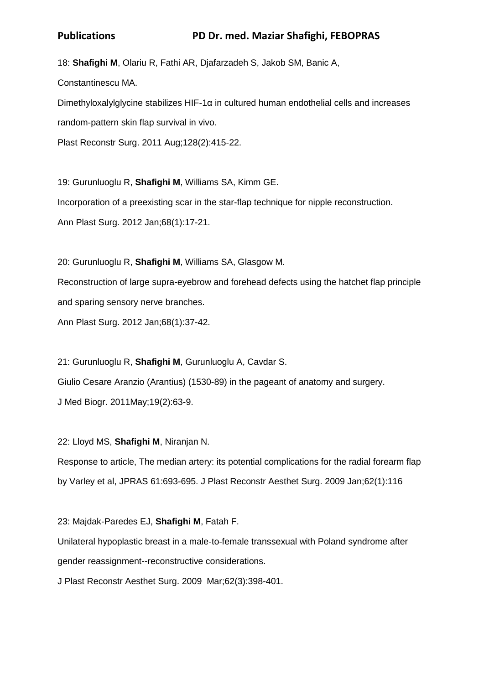## **Publications PD Dr. med. Maziar Shafighi, FEBOPRAS**

18: **Shafighi M**, Olariu R, Fathi AR, Djafarzadeh S, Jakob SM, Banic A, Constantinescu MA.

Dimethyloxalylglycine stabilizes HIF-1α in cultured human endothelial cells and increases random-pattern skin flap survival in vivo.

Plast Reconstr Surg. 2011 Aug;128(2):415-22.

19: Gurunluoglu R, **Shafighi M**, Williams SA, Kimm GE. Incorporation of a preexisting scar in the star-flap technique for nipple reconstruction. Ann Plast Surg. 2012 Jan;68(1):17-21.

20: Gurunluoglu R, **Shafighi M**, Williams SA, Glasgow M. Reconstruction of large supra-eyebrow and forehead defects using the hatchet flap principle and sparing sensory nerve branches. Ann Plast Surg. 2012 Jan;68(1):37-42.

21: Gurunluoglu R, **Shafighi M**, Gurunluoglu A, Cavdar S. Giulio Cesare Aranzio (Arantius) (1530-89) in the pageant of anatomy and surgery. J Med Biogr. 2011May;19(2):63-9.

22: Lloyd MS, **Shafighi M**, Niranjan N.

Response to article, The median artery: its potential complications for the radial forearm flap by Varley et al, JPRAS 61:693-695. J Plast Reconstr Aesthet Surg. 2009 Jan;62(1):116

23: Majdak-Paredes EJ, **Shafighi M**, Fatah F.

Unilateral hypoplastic breast in a male-to-female transsexual with Poland syndrome after gender reassignment--reconstructive considerations.

J Plast Reconstr Aesthet Surg. 2009 Mar;62(3):398-401.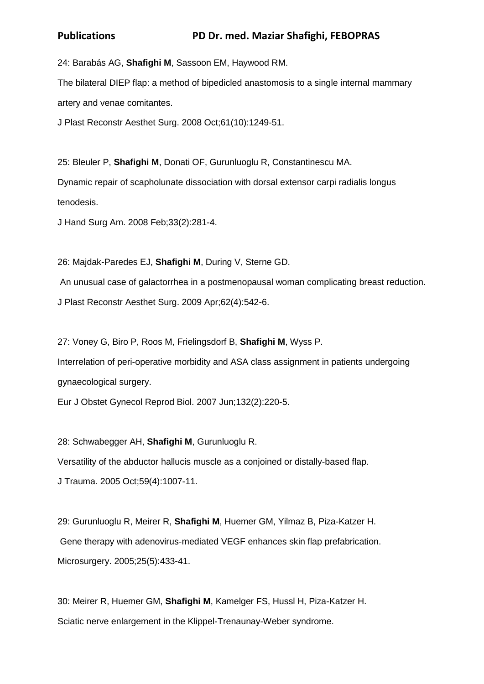# **Publications PD Dr. med. Maziar Shafighi, FEBOPRAS**

24: Barabás AG, **Shafighi M**, Sassoon EM, Haywood RM.

The bilateral DIEP flap: a method of bipedicled anastomosis to a single internal mammary artery and venae comitantes.

J Plast Reconstr Aesthet Surg. 2008 Oct;61(10):1249-51.

25: Bleuler P, **Shafighi M**, Donati OF, Gurunluoglu R, Constantinescu MA. Dynamic repair of scapholunate dissociation with dorsal extensor carpi radialis longus tenodesis.

J Hand Surg Am. 2008 Feb;33(2):281-4.

26: Majdak-Paredes EJ, **Shafighi M**, During V, Sterne GD.

An unusual case of galactorrhea in a postmenopausal woman complicating breast reduction. J Plast Reconstr Aesthet Surg. 2009 Apr;62(4):542-6.

27: Voney G, Biro P, Roos M, Frielingsdorf B, **Shafighi M**, Wyss P. Interrelation of peri-operative morbidity and ASA class assignment in patients undergoing gynaecological surgery.

Eur J Obstet Gynecol Reprod Biol. 2007 Jun;132(2):220-5.

28: Schwabegger AH, **Shafighi M**, Gurunluoglu R.

Versatility of the abductor hallucis muscle as a conjoined or distally-based flap.

J Trauma. 2005 Oct;59(4):1007-11.

29: Gurunluoglu R, Meirer R, **Shafighi M**, Huemer GM, Yilmaz B, Piza-Katzer H. Gene therapy with adenovirus-mediated VEGF enhances skin flap prefabrication. Microsurgery. 2005;25(5):433-41.

30: Meirer R, Huemer GM, **Shafighi M**, Kamelger FS, Hussl H, Piza-Katzer H. Sciatic nerve enlargement in the Klippel-Trenaunay-Weber syndrome.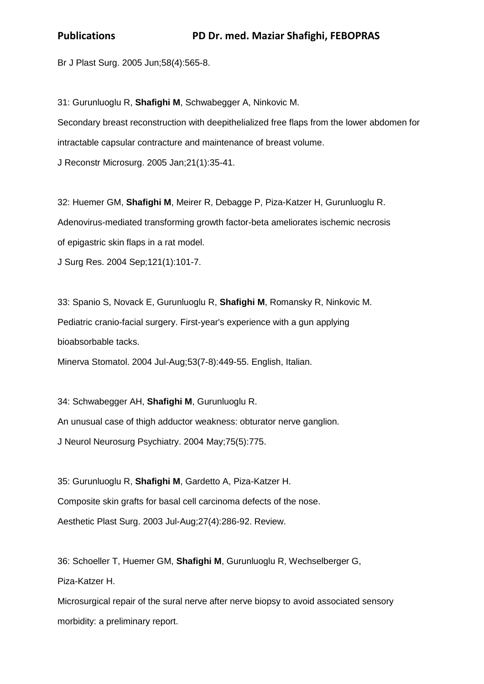Br J Plast Surg. 2005 Jun;58(4):565-8.

31: Gurunluoglu R, **Shafighi M**, Schwabegger A, Ninkovic M. Secondary breast reconstruction with deepithelialized free flaps from the lower abdomen for intractable capsular contracture and maintenance of breast volume.

J Reconstr Microsurg. 2005 Jan;21(1):35-41.

32: Huemer GM, **Shafighi M**, Meirer R, Debagge P, Piza-Katzer H, Gurunluoglu R. Adenovirus-mediated transforming growth factor-beta ameliorates ischemic necrosis of epigastric skin flaps in a rat model.

J Surg Res. 2004 Sep;121(1):101-7.

33: Spanio S, Novack E, Gurunluoglu R, **Shafighi M**, Romansky R, Ninkovic M. Pediatric cranio-facial surgery. First-year's experience with a gun applying bioabsorbable tacks.

Minerva Stomatol. 2004 Jul-Aug;53(7-8):449-55. English, Italian.

34: Schwabegger AH, **Shafighi M**, Gurunluoglu R. An unusual case of thigh adductor weakness: obturator nerve ganglion. J Neurol Neurosurg Psychiatry. 2004 May;75(5):775.

35: Gurunluoglu R, **Shafighi M**, Gardetto A, Piza-Katzer H. Composite skin grafts for basal cell carcinoma defects of the nose. Aesthetic Plast Surg. 2003 Jul-Aug;27(4):286-92. Review.

36: Schoeller T, Huemer GM, **Shafighi M**, Gurunluoglu R, Wechselberger G, Piza-Katzer H.

Microsurgical repair of the sural nerve after nerve biopsy to avoid associated sensory morbidity: a preliminary report.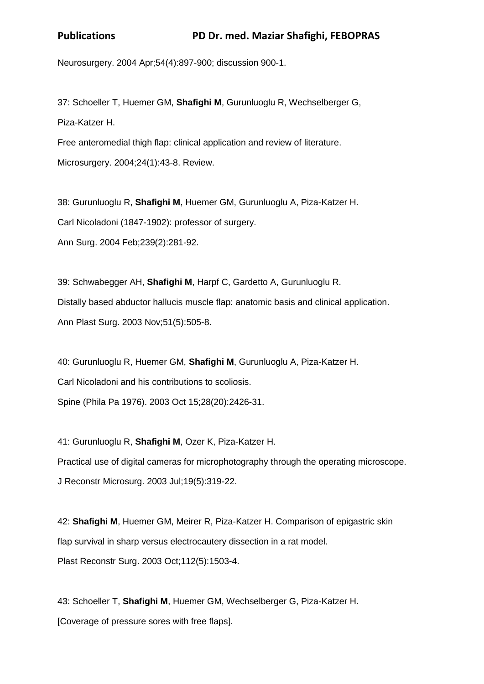Neurosurgery. 2004 Apr;54(4):897-900; discussion 900-1.

37: Schoeller T, Huemer GM, **Shafighi M**, Gurunluoglu R, Wechselberger G, Piza-Katzer H.

Free anteromedial thigh flap: clinical application and review of literature. Microsurgery. 2004;24(1):43-8. Review.

38: Gurunluoglu R, **Shafighi M**, Huemer GM, Gurunluoglu A, Piza-Katzer H. Carl Nicoladoni (1847-1902): professor of surgery. Ann Surg. 2004 Feb;239(2):281-92.

39: Schwabegger AH, **Shafighi M**, Harpf C, Gardetto A, Gurunluoglu R. Distally based abductor hallucis muscle flap: anatomic basis and clinical application. Ann Plast Surg. 2003 Nov;51(5):505-8.

40: Gurunluoglu R, Huemer GM, **Shafighi M**, Gurunluoglu A, Piza-Katzer H. Carl Nicoladoni and his contributions to scoliosis. Spine (Phila Pa 1976). 2003 Oct 15;28(20):2426-31.

41: Gurunluoglu R, **Shafighi M**, Ozer K, Piza-Katzer H. Practical use of digital cameras for microphotography through the operating microscope. J Reconstr Microsurg. 2003 Jul;19(5):319-22.

42: **Shafighi M**, Huemer GM, Meirer R, Piza-Katzer H. Comparison of epigastric skin flap survival in sharp versus electrocautery dissection in a rat model. Plast Reconstr Surg. 2003 Oct;112(5):1503-4.

43: Schoeller T, **Shafighi M**, Huemer GM, Wechselberger G, Piza-Katzer H. [Coverage of pressure sores with free flaps].